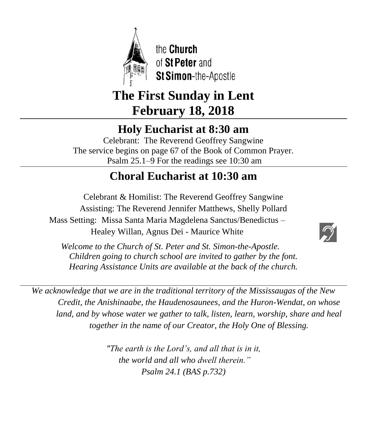

the **Church** of St Peter and **St Simon-the-Apostle** 

# **The First Sunday in Lent February 18, 2018**

# **Holy Eucharist at 8:30 am**

Celebrant: The Reverend Geoffrey Sangwine The service begins on page 67 of the Book of Common Prayer. Psalm 25.1–9 For the readings see 10:30 am

# **Choral Eucharist at 10:30 am**

Celebrant & Homilist: The Reverend Geoffrey Sangwine Assisting: The Reverend Jennifer Matthews, Shelly Pollard Mass Setting: Missa Santa Maria Magdelena Sanctus/Benedictus – Healey Willan, Agnus Dei - Maurice White  $\overline{\phantom{a}}$ 



 *Welcome to the Church of St. Peter and St. Simon-the-Apostle. Children going to church school are invited to gather by the font. Hearing Assistance Units are available at the back of the church.*

*We acknowledge that we are in the traditional territory of the Mississaugas of the New Credit, the Anishinaabe, the Haudenosaunees, and the Huron-Wendat, on whose land, and by whose water we gather to talk, listen, learn, worship, share and heal together in the name of our Creator, the Holy One of Blessing.*

> *"The earth is the Lord's, and all that is in it, the world and all who dwell therein." Psalm 24.1 (BAS p.732)*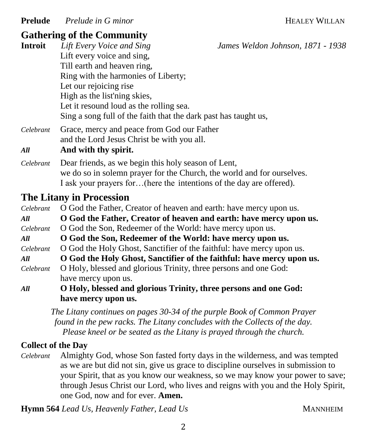**Prelude** *Prelude in G minor Preduce in G minor Preduce 10 MILLAN* 

# **Gathering of the Community**

| <b>Introit</b>                             | Lift Every Voice and Sing                                              | James Weldon Johnson, 1871 - 1938                               |  |                                                                         |
|--------------------------------------------|------------------------------------------------------------------------|-----------------------------------------------------------------|--|-------------------------------------------------------------------------|
|                                            | Lift every voice and sing,                                             |                                                                 |  |                                                                         |
|                                            | Till earth and heaven ring,                                            |                                                                 |  |                                                                         |
|                                            | Ring with the harmonies of Liberty;<br>Let our rejoicing rise          |                                                                 |  |                                                                         |
|                                            |                                                                        |                                                                 |  | High as the list'ning skies,<br>Let it resound loud as the rolling sea. |
|                                            |                                                                        | Sing a song full of the faith that the dark past has taught us, |  |                                                                         |
|                                            | Celebrant                                                              | Grace, mercy and peace from God our Father                      |  |                                                                         |
| and the Lord Jesus Christ be with you all. |                                                                        |                                                                 |  |                                                                         |
| All                                        | And with thy spirit.                                                   |                                                                 |  |                                                                         |
| Celebrant                                  | Dear friends, as we begin this holy season of Lent,                    |                                                                 |  |                                                                         |
|                                            | we do so in solemn prayer for the Church, the world and for ourselves. |                                                                 |  |                                                                         |
|                                            | I ask your prayers for(here the intentions of the day are offered).    |                                                                 |  |                                                                         |

### **The Litany in Procession**

*Celebrant* O God the Father, Creator of heaven and earth: have mercy upon us. *All* **O God the Father, Creator of heaven and earth: have mercy upon us.** *Celebrant* O God the Son, Redeemer of the World: have mercy upon us. *All* **O God the Son, Redeemer of the World: have mercy upon us.** *Celebrant* O God the Holy Ghost, Sanctifier of the faithful: have mercy upon us. *All* **O God the Holy Ghost, Sanctifier of the faithful: have mercy upon us.** *Celebrant* O Holy, blessed and glorious Trinity, three persons and one God: have mercy upon us. *All* **O Holy, blessed and glorious Trinity, three persons and one God:** 

#### **have mercy upon us.**

*The Litany continues on pages 30-34 of the purple Book of Common Prayer found in the pew racks. The Litany concludes with the Collects of the day. Please kneel or be seated as the Litany is prayed through the church.*

### **Collect of the Day**

*Celebrant* Almighty God, whose Son fasted forty days in the wilderness, and was tempted as we are but did not sin, give us grace to discipline ourselves in submission to your Spirit, that as you know our weakness, so we may know your power to save; through Jesus Christ our Lord, who lives and reigns with you and the Holy Spirit, one God, now and for ever. **Amen.**

**Hymn 564** *Lead Us, Heavenly Father, Lead Us* **MANNHEIM**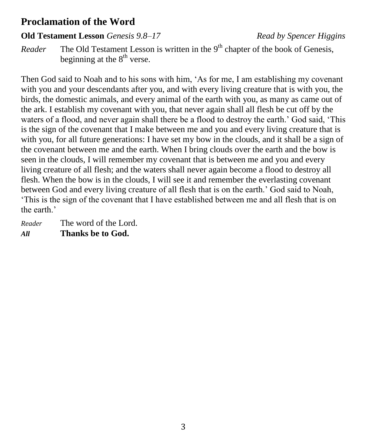# **Proclamation of the Word**

#### **Old Testament Lesson** *Genesis 9.8–17**Read by Spencer Higgins*

*Reader* The Old Testament Lesson is written in the 9<sup>th</sup> chapter of the book of Genesis, beginning at the  $8<sup>th</sup>$  verse.

Then God said to Noah and to his sons with him, 'As for me, I am establishing my covenant with you and your descendants after you, and with every living creature that is with you, the birds, the domestic animals, and every animal of the earth with you, as many as came out of the ark. I establish my covenant with you, that never again shall all flesh be cut off by the waters of a flood, and never again shall there be a flood to destroy the earth.' God said, 'This is the sign of the covenant that I make between me and you and every living creature that is with you, for all future generations: I have set my bow in the clouds, and it shall be a sign of the covenant between me and the earth. When I bring clouds over the earth and the bow is seen in the clouds, I will remember my covenant that is between me and you and every living creature of all flesh; and the waters shall never again become a flood to destroy all flesh. When the bow is in the clouds, I will see it and remember the everlasting covenant between God and every living creature of all flesh that is on the earth.' God said to Noah, 'This is the sign of the covenant that I have established between me and all flesh that is on the earth.'

*Reader* The word of the Lord. *All* **Thanks be to God.**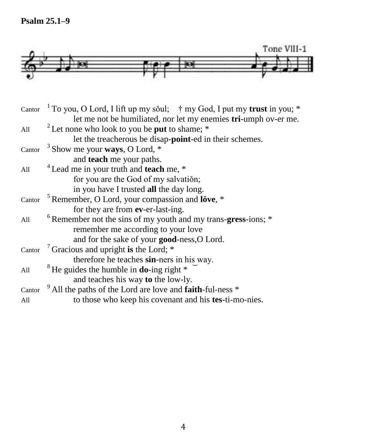**Psalm 25.1–9**



| Cantor | <sup>1</sup> To you, O Lord, I lift up my sŏul; $\uparrow$ my God, I put my <b>trust</b> in you; * |  |  |
|--------|----------------------------------------------------------------------------------------------------|--|--|
|        | let me not be humiliated, nor let my enemies tri-umph ov-er me.                                    |  |  |
| All    | <sup>2</sup> Let none who look to you be <b>put</b> to shame; $*$                                  |  |  |
|        | let the treacherous be disap- <b>point</b> -ed in their schemes.                                   |  |  |
| Cantor | <sup>3</sup> Show me your <b>ways</b> , O Lord, $*$                                                |  |  |
|        | and teach me your paths.                                                                           |  |  |
| All    | <sup>4</sup> Lead me in your truth and <b>teach</b> me, *                                          |  |  |
|        | for you are the God of my salvation;                                                               |  |  |
|        | in you have I trusted all the day long.                                                            |  |  |
|        | Cantor $\frac{5}{3}$ Remember, O Lord, your compassion and löve, $*$                               |  |  |
|        | for they are from ev-er-last-ing.                                                                  |  |  |
| All    | $6$ Remember not the sins of my youth and my trans-gress-ions; $*$                                 |  |  |
|        | remember me according to your love                                                                 |  |  |
|        | and for the sake of your good-ness, O Lord.                                                        |  |  |
| Cantor | <sup>7</sup> Gracious and upright is the Lord; $*$                                                 |  |  |
|        | therefore he teaches sin-ners in his way.                                                          |  |  |
| All    | ${}^8$ He guides the humble in <b>do</b> -ing right ${}^*$                                         |  |  |
|        | and teaches his way to the low-ly.                                                                 |  |  |
| Cantor | <sup>9</sup> All the paths of the Lord are love and <b>faith</b> -ful-ness *                       |  |  |
| All    | to those who keep his covenant and his tes-ti-mo-nies.                                             |  |  |
|        |                                                                                                    |  |  |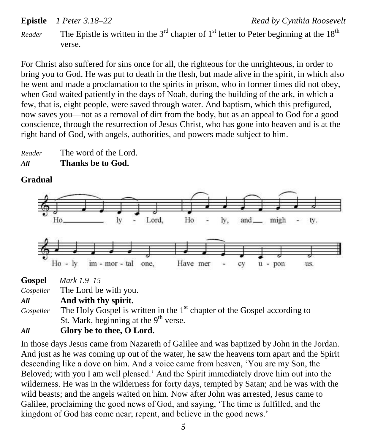```
Epistle 1 Peter 3.18–22 Read by Cynthia Roosevelt
```
*Reader* The Epistle is written in the 3<sup>rd</sup> chapter of 1<sup>st</sup> letter to Peter beginning at the 18<sup>th</sup> verse.

For Christ also suffered for sins once for all, the righteous for the unrighteous, in order to bring you to God. He was put to death in the flesh, but made alive in the spirit, in which also he went and made a proclamation to the spirits in prison, who in former times did not obey, when God waited patiently in the days of Noah, during the building of the ark, in which a few, that is, eight people, were saved through water. And baptism, which this prefigured, now saves you—not as a removal of dirt from the body, but as an appeal to God for a good conscience, through the resurrection of Jesus Christ, who has gone into heaven and is at the right hand of God, with angels, authorities, and powers made subject to him.

*Reader* The word of the Lord. *All* **Thanks be to God.**

# **Gradual**



| ------    |                       |
|-----------|-----------------------|
| Gospeller | The Lord be with you. |

*All* **And with thy spirit.**

Gospeller The Holy Gospel is written in the 1<sup>st</sup> chapter of the Gospel according to St. Mark, beginning at the  $9<sup>th</sup>$  verse.

# *All* **Glory be to thee, O Lord.**

In those days Jesus came from Nazareth of Galilee and was baptized by John in the Jordan. And just as he was coming up out of the water, he saw the heavens torn apart and the Spirit descending like a dove on him. And a voice came from heaven, 'You are my Son, the Beloved; with you I am well pleased.' And the Spirit immediately drove him out into the wilderness. He was in the wilderness for forty days, tempted by Satan; and he was with the wild beasts; and the angels waited on him. Now after John was arrested, Jesus came to Galilee, proclaiming the good news of God, and saying, 'The time is fulfilled, and the kingdom of God has come near; repent, and believe in the good news.'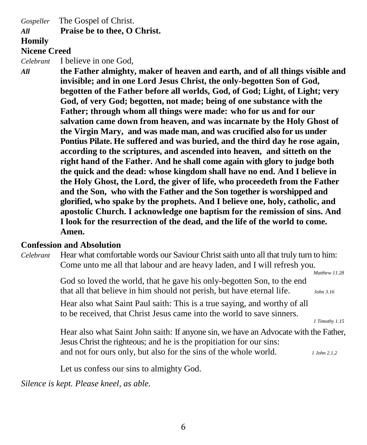*Gospeller* The Gospel of Christ.

#### *All* **Praise be to thee, O Christ.**

#### **Homily**

#### **Nicene Creed**

*Celebrant* I believe in one God,

*All* **the Father almighty, maker of heaven and earth, and of all things visible and invisible; and in one Lord Jesus Christ, the only-begotten Son of God, begotten of the Father before all worlds, God, of God; Light, of Light; very God, of very God; begotten, not made; being of one substance with the Father; through whom all things were made: who for us and for our salvation came down from heaven, and was incarnate by the Holy Ghost of the Virgin Mary, and was made man, and was crucified also for us under Pontius Pilate. He suffered and was buried, and the third day he rose again, according to the scriptures, and ascended into heaven, and sitteth on the right hand of the Father. And he shall come again with glory to judge both the quick and the dead: whose kingdom shall have no end. And I believe in the Holy Ghost, the Lord, the giver of life, who proceedeth from the Father and the Son, who with the Father and the Son together is worshipped and glorified, who spake by the prophets. And I believe one, holy, catholic, and apostolic Church. I acknowledge one baptism for the remission of sins. And I look for the resurrection of the dead, and the life of the world to come. Amen.**

#### **Confession and Absolution**

*Celebrant* Hear what comfortable words our Saviour Christ saith unto all that truly turn to him: Come unto me all that labour and are heavy laden, and I will refresh you.

> God so loved the world, that he gave his only-begotten Son, to the end that all that believe in him should not perish, but have eternal life. *John 3.16*

 *Matthew 11.28*

Hear also what Saint Paul saith: This is a true saying, and worthy of all to be received, that Christ Jesus came into the world to save sinners.

*1 Timothy 1.15*

Hear also what Saint John saith: If anyone sin, we have an Advocate with the Father, Jesus Christ the righteous; and he is the propitiation for our sins: and not for ours only, but also for the sins of the whole world. *1 John 2.1,2*

Let us confess our sins to almighty God.

*Silence is kept. Please kneel, as able.*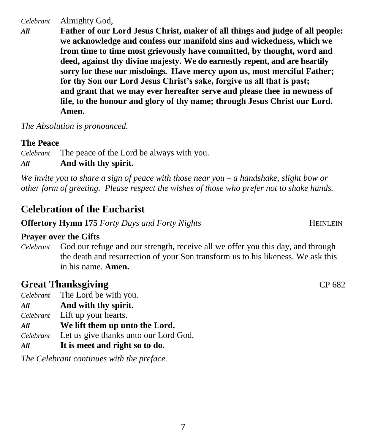*Celebrant* Almighty God,

*All* **Father of our Lord Jesus Christ, maker of all things and judge of all people: we acknowledge and confess our manifold sins and wickedness, which we from time to time most grievously have committed, by thought, word and deed, against thy divine majesty. We do earnestly repent, and are heartily sorry for these our misdoings. Have mercy upon us, most merciful Father; for thy Son our Lord Jesus Christ's sake, forgive us all that is past; and grant that we may ever hereafter serve and please thee in newness of life, to the honour and glory of thy name; through Jesus Christ our Lord. Amen.**

*The Absolution is pronounced.*

### **The Peace**

*Celebrant* The peace of the Lord be always with you. *All* **And with thy spirit.**

*We invite you to share a sign of peace with those near you – a handshake, slight bow or other form of greeting. Please respect the wishes of those who prefer not to shake hands.*

# **Celebration of the Eucharist**

**Offertory Hymn 175** *Forty Days and Forty Nights* **HEINLEIN** 

### **Prayer over the Gifts**

*Celebrant* God our refuge and our strength, receive all we offer you this day, and through the death and resurrection of your Son transform us to his likeness. We ask this in his name. **Amen.**

# **Great Thanksgiving CP 682**

- *Celebrant* The Lord be with you.
- *All* **And with thy spirit.**
- *Celebrant* Lift up your hearts.
- *All* **We lift them up unto the Lord.**
- *Celebrant* Let us give thanks unto our Lord God.
- *All* **It is meet and right so to do.**

*The Celebrant continues with the preface.* 

7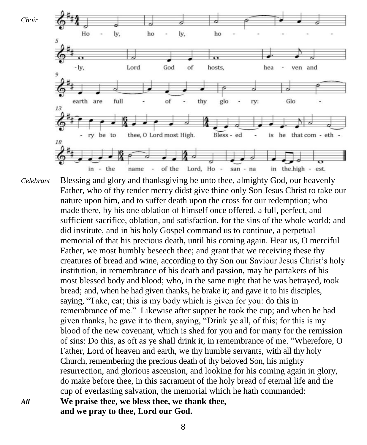

*Celebrant* Blessing and glory and thanksgiving be unto thee, almighty God, our heavenly Father, who of thy tender mercy didst give thine only Son Jesus Christ to take our nature upon him, and to suffer death upon the cross for our redemption; who made there, by his one oblation of himself once offered, a full, perfect, and sufficient sacrifice, oblation, and satisfaction, for the sins of the whole world; and did institute, and in his holy Gospel command us to continue, a perpetual memorial of that his precious death, until his coming again. Hear us, O merciful Father, we most humbly beseech thee; and grant that we receiving these thy creatures of bread and wine, according to thy Son our Saviour Jesus Christ's holy institution, in remembrance of his death and passion, may be partakers of his most blessed body and blood; who, in the same night that he was betrayed, took bread; and, when he had given thanks, he brake it; and gave it to his disciples, saying, "Take, eat; this is my body which is given for you: do this in remembrance of me." Likewise after supper he took the cup; and when he had given thanks, he gave it to them, saying, "Drink ye all, of this; for this is my blood of the new covenant, which is shed for you and for many for the remission of sins: Do this, as oft as ye shall drink it, in remembrance of me. "Wherefore, O Father, Lord of heaven and earth, we thy humble servants, with all thy holy Church, remembering the precious death of thy beloved Son, his mighty resurrection, and glorious ascension, and looking for his coming again in glory, do make before thee, in this sacrament of the holy bread of eternal life and the cup of everlasting salvation, the memorial which he hath commanded: *All* **We praise thee, we bless thee, we thank thee, and we pray to thee, Lord our God.**

8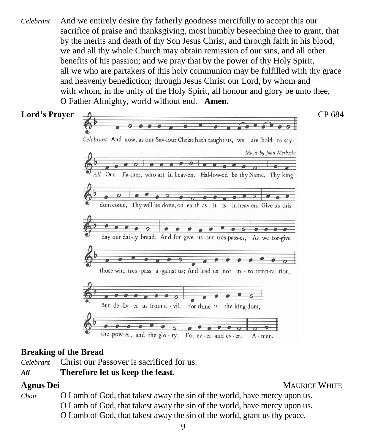*Celebrant* And we entirely desire thy fatherly goodness mercifully to accept this our sacrifice of praise and thanksgiving, most humbly beseeching thee to grant, that by the merits and death of thy Son Jesus Christ, and through faith in his blood, we and all thy whole Church may obtain remission of our sins, and all other benefits of his passion; and we pray that by the power of thy Holy Spirit, all we who are partakers of this holy communion may be fulfilled with thy grace and heavenly benediction; through Jesus Christ our Lord, by whom and with whom, in the unity of the Holy Spirit, all honour and glory be unto thee, O Father Almighty, world without end. **Amen.**



### **Breaking of the Bread**

*Celebrant* Christ our Passover is sacrificed for us.

# *All* **Therefore let us keep the feast.**

**Agnus Dei** MAURICE WHITE

*Choir* O Lamb of God, that takest away the sin of the world, have mercy upon us. O Lamb of God, that takest away the sin of the world, have mercy upon us.

O Lamb of God, that takest away the sin of the world, grant us thy peace.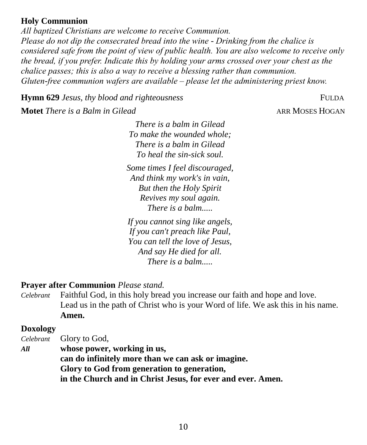#### **Holy Communion**

*All baptized Christians are welcome to receive Communion. Please do not dip the consecrated bread into the wine - Drinking from the chalice is considered safe from the point of view of public health. You are also welcome to receive only the bread, if you prefer. Indicate this by holding your arms crossed over your chest as the chalice passes; this is also a way to receive a blessing rather than communion. Gluten-free communion wafers are available – please let the administering priest know.*

**Hymn 629** *Jesus, thy blood and righteousness* FULDA

**Motet** *There is a Balm in Gilead* ARR MOSES HOGAN

*There is a balm in Gilead To make the wounded whole; There is a balm in Gilead To heal the sin-sick soul.*

*Some times I feel discouraged, And think my work's in vain, But then the Holy Spirit Revives my soul again. There is a balm.....*

*If you cannot sing like angels, If you can't preach like Paul, You can tell the love of Jesus, And say He died for all. There is a balm.....*

# **Prayer after Communion** *Please stand.*

*Celebrant* Faithful God, in this holy bread you increase our faith and hope and love. Lead us in the path of Christ who is your Word of life. We ask this in his name. **Amen.**

### **Doxology**

*Celebrant* Glory to God, *All* **whose power, working in us,**

**can do infinitely more than we can ask or imagine. Glory to God from generation to generation, in the Church and in Christ Jesus, for ever and ever. Amen.**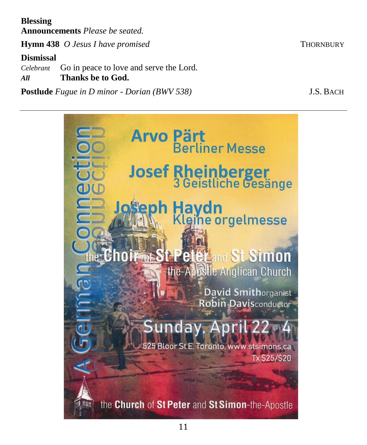**Blessing Announcements** *Please be seated.*

**Hymn 438** *O Jesus I have promised* THORNBURY

# **Dismissal**

*Celebrant* Go in peace to love and serve the Lord.

*All* **Thanks be to God.** 

**Postlude** *Fugue in D minor - Dorian (BWV 538)* J.S. BACH